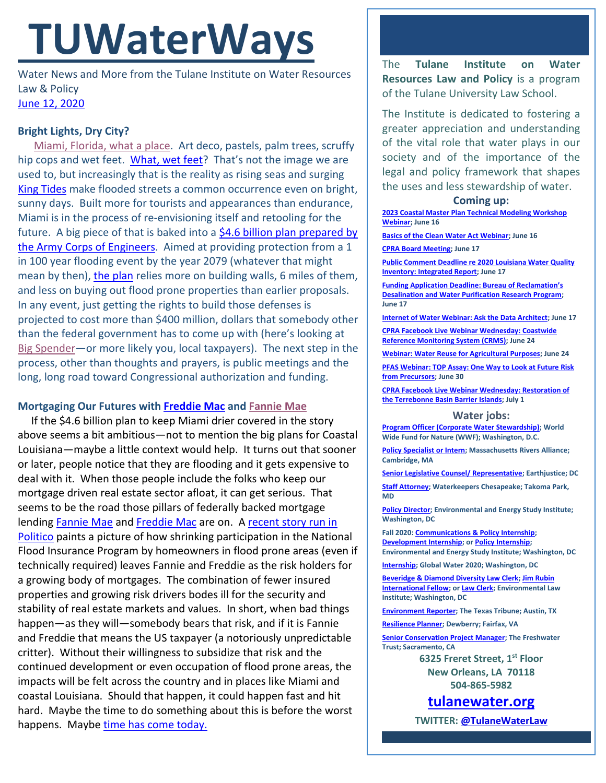# **TUWaterWays**

Water News and More from the Tulane Institute on Water Resources Law & Policy [June 12, 2020](https://thisdayinwaterhistory.wordpress.com/)

## **Bright Lights, Dry City?**

[Miami, Florida, what a place.](https://www.youtube.com/watch?v=bFCQSclUzF4) Art deco, pastels, palm trees, scruffy hip cops and wet feet. [What, wet feet](https://www.youtube.com/watch?v=MU4sGuOIFW4)? That's not the image we are used to, but increasingly that is the reality as rising seas and surging [King Tides](https://www.youtube.com/watch?v=lWPZeQzN_Ws) make flooded streets a common occurrence even on bright, sunny days. Built more for tourists and appearances than endurance, Miami is in the process of re-envisioning itself and retooling for the future. A big piece of that is baked into a  $$4.6$  billion plan prepared by [the Army Corps of Engineers.](https://www.miamiherald.com/news/local/environment/article243276326.html) Aimed at providing protection from a 1 in 100 year flooding event by the year 2079 (whatever that might mean by then), [the plan](https://usace.contentdm.oclc.org/utils/getfile/collection/p16021coll7/id/14453) relies more on building walls, 6 miles of them, and less on buying out flood prone properties than earlier proposals. In any event, just getting the rights to build those defenses is projected to cost more than \$400 million, dollars that somebody other than the federal government has to come up with (here's looking at [Big Spender](https://www.youtube.com/watch?v=lWPZeQzN_Ws)—or more likely you, local taxpayers). The next step in the process, other than thoughts and prayers, is public meetings and the long, long road toward Congressional authorization and funding.

## **Mortgaging Our Futures with [Freddie Mac](https://www.youtube.com/watch?v=bQeHGrtPDTs) and [Fannie Mae](https://www.youtube.com/watch?v=1Oj4XPe14Og)**

 If the \$4.6 billion plan to keep Miami drier covered in the story above seems a bit ambitious—not to mention the big plans for Coastal Louisiana—maybe a little context would help. It turns out that sooner or later, people notice that they are flooding and it gets expensive to deal with it. When those people include the folks who keep our mortgage driven real estate sector afloat, it can get serious. That seems to be the road those pillars of federally backed mortgage lending [Fannie Mae](https://en.wikipedia.org/wiki/Fannie_Mae) and [Freddie Mac](https://en.wikipedia.org/wiki/Freddie_Mac) are on. [A recent story run in](https://www.politico.com/news/2020/06/08/borrowed-time-climate-changemortgage-market-304130)  [Politico](https://www.politico.com/news/2020/06/08/borrowed-time-climate-changemortgage-market-304130) paints a picture of how shrinking participation in the National Flood Insurance Program by homeowners in flood prone areas (even if technically required) leaves Fannie and Freddie as the risk holders for a growing body of mortgages. The combination of fewer insured properties and growing risk drivers bodes ill for the security and stability of real estate markets and values. In short, when bad things happen—as they will—somebody bears that risk, and if it is Fannie and Freddie that means the US taxpayer (a notoriously unpredictable critter). Without their willingness to subsidize that risk and the continued development or even occupation of flood prone areas, the impacts will be felt across the country and in places like Miami and coastal Louisiana. Should that happen, it could happen fast and hit hard. Maybe the time to do something about this is before the worst happens. Maybe [time has come today.](https://www.youtube.com/watch?v=hIqwzQ7g-Cc)

The **Tulane Institute on Water Resources Law and Policy** is a program of the Tulane University Law School.

The Institute is dedicated to fostering a greater appreciation and understanding of the vital role that water plays in our society and of the importance of the legal and policy framework that shapes the uses and less stewardship of water.

#### **Coming up:**

**[2023 Coastal Master Plan Technical Modeling Workshop](https://zoom.us/meeting/register/tJIrdOqrrzMjHNxgHPozftBnN0kDVWwTBPYu)  [Webinar;](https://zoom.us/meeting/register/tJIrdOqrrzMjHNxgHPozftBnN0kDVWwTBPYu) June 16**

**[Basics of the Clean Water Act Webinar;](https://www.eli.org/events/basics-clean-water-act-eli-summer-school-2020) June 16**

**[CPRA Board Meeting;](https://coastal.la.gov/calendar/) June 17**

**[Public Comment Deadline re 2020 Louisiana Water Quality](https://deq.louisiana.gov/page/water-quality)  [Inventory: Integrated Report;](https://deq.louisiana.gov/page/water-quality) June 17**

**[Funding Application Deadline: Bureau of Reclamation's](https://www.usbr.gov/newsroom/newsrelease/detail.cfm?RecordID=70744)  [Desalination and Water Purification Research Program;](https://www.usbr.gov/newsroom/newsrelease/detail.cfm?RecordID=70744)  June 17**

**[Internet of Water Webinar: Ask the Data Architect;](https://internetofwater.org/webinars/askarchitect/) June 17**

**CPRA Facebook Live [Webinar Wednesday: Coastwide](https://coastal.la.gov/webinar-wednesdays/)  [Reference Monitoring System \(CRMS\);](https://coastal.la.gov/webinar-wednesdays/) June 24**

**[Webinar: Water Reuse for Agricultural Purposes;](https://www.epa.gov/water-research/water-research-webinar-series) June 24**

**[PFAS Webinar: TOP Assay: One Way to Look at Future Risk](https://www.testamericainc.com/services-we-offer/webinars/upcoming-webinars/part-5-top-assay-one-way-to-look-at-future-risk-from-precursors/)  [from Precursors;](https://www.testamericainc.com/services-we-offer/webinars/upcoming-webinars/part-5-top-assay-one-way-to-look-at-future-risk-from-precursors/) June 30**

**[CPRA Facebook Live Webinar Wednesday: Restoration of](https://coastal.la.gov/calendar/)  [the Terrebonne Basin Barrier Islands;](https://coastal.la.gov/calendar/) July 1**

#### **Water jobs:**

**[Program Officer \(Corporate Water Stewardship\);](https://careers-wwfus.icims.com/jobs/2604/program-officer%2c-corporate-water-stewardship---20074/job) World Wide Fund for Nature (WWF); Washington, D.C.**

**[Policy Specialist](http://massriversalliance.org/about/employment-opportunities/) or Intern; Massachusetts Rivers Alliance; Cambridge, MA**

**[Senior Legislative Counsel/ Representative;](https://jobs.jobvite.com/earthjustice/job/oBYHcfwc?nl=1) Earthjustice; DC**

**[Staff Attorney;](https://waterkeeperschesapeake.org/job-notice-staff-attorney/) Waterkeepers Chesapeake; Takoma Park, MD**

**[Policy Director;](https://www.eesi.org/about/careers) Environmental and Energy Study Institute; Washington, DC**

**Fall 2020[: Communications & Policy Internship;](https://www.eesi.org/internships/communications-and-policy)  [Development Internship;](https://www.eesi.org/internships/development) o[r Policy Internship;](https://www.eesi.org/internships/policy)  Environmental and Energy Study Institute; Washington, DC**

**[Internship;](https://www.joshswaterjobs.com/jobs/22655) Global Water 2020; Washington, DC**

**[Beveridge & Diamond Diversity Law Clerk;](https://www.eli.org/employment/henry-l-diamond-bd-law-clerk) [Jim Rubin](https://workforcenow.adp.com/mascsr/default/mdf/recruitment/recruitment.html?cid=82bc5b12-ae17-4634-b907-3b62f1097668&ccId=19000101_000001&jobId=305906&source=CC3&lang=en_US)  [International Fellow;](https://workforcenow.adp.com/mascsr/default/mdf/recruitment/recruitment.html?cid=82bc5b12-ae17-4634-b907-3b62f1097668&ccId=19000101_000001&jobId=305906&source=CC3&lang=en_US) o[r Law Clerk;](https://www.eli.org/employment/law-clerk) Environmental Law Institute; Washington, DC**

**[Environment Reporter;](https://www.texastribune.org/jobs/environment-reporter/) The Texas Tribune; Austin, TX**

**[Resilience Planner;](https://careers-dewberry.icims.com/jobs/7798/job?mobile=false&width=1020&height=500&bga=true&needsRedirect=false&jan1offset=-300&jun1offset=-240) Dewberry; Fairfax, VA**

**[Senior](https://careers-dewberry.icims.com/jobs/7798/job?mobile=false&width=1020&height=500&bga=true&needsRedirect=false&jan1offset=-300&jun1offset=-240) Conservation Project Manager; The Freshwater Trust; Sacramento, CA**

> **6325 Freret Street, 1st Floor New Orleans, LA 70118 504-865-5982**

**[tulanewater.org](file:///C:/Users/waterlaw/Downloads/tulanewater.org)**

**TWITTER[: @TulaneWaterLaw](http://www.twitter.com/TulaneWaterLaw)**